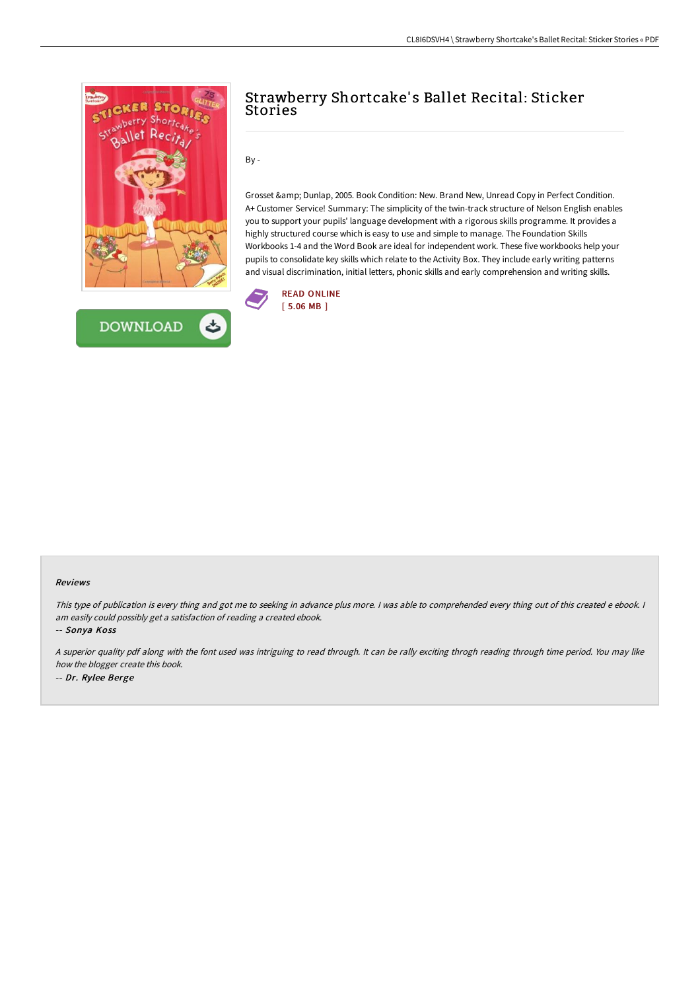



# Strawberry Shortcake' s Ballet Recital: Sticker Stories

 $By -$ 

Grosset & amp; Dunlap, 2005. Book Condition: New. Brand New, Unread Copy in Perfect Condition. A+ Customer Service! Summary: The simplicity of the twin-track structure of Nelson English enables you to support your pupils' language development with a rigorous skills programme. It provides a highly structured course which is easy to use and simple to manage. The Foundation Skills Workbooks 1-4 and the Word Book are ideal for independent work. These five workbooks help your pupils to consolidate key skills which relate to the Activity Box. They include early writing patterns and visual discrimination, initial letters, phonic skills and early comprehension and writing skills.



#### Reviews

This type of publication is every thing and got me to seeking in advance plus more. I was able to comprehended every thing out of this created e ebook. I am easily could possibly get <sup>a</sup> satisfaction of reading <sup>a</sup> created ebook.

-- Sonya Koss

<sup>A</sup> superior quality pdf along with the font used was intriguing to read through. It can be rally exciting throgh reading through time period. You may like how the blogger create this book. -- Dr. Rylee Berge